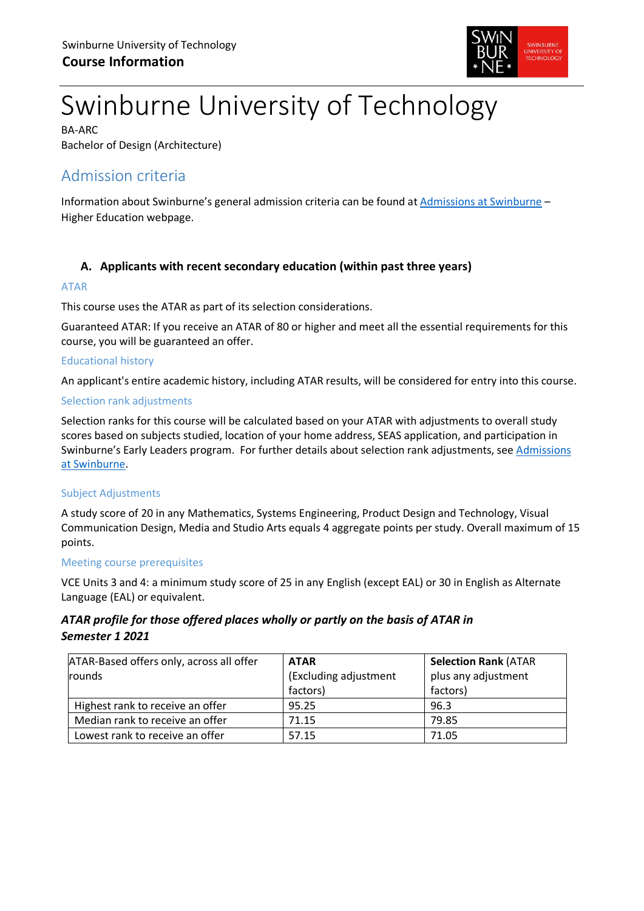

# Swinburne University of Technology

BA-ARC Bachelor of Design (Architecture)

# Admission criteria

Information about Swinburne's general admission criteria can be found at [Admissions at Swinburne](https://www.swinburne.edu.au/study/degrees/apply/admissions/) – Higher Education webpage.

# **A. Applicants with recent secondary education (within past three years)**

#### ATAR

This course uses the ATAR as part of its selection considerations.

Guaranteed ATAR: If you receive an ATAR of 80 or higher and meet all the essential requirements for this course, you will be guaranteed an offer.

## Educational history

An applicant's entire academic history, including ATAR results, will be considered for entry into this course.

## Selection rank adjustments

Selection ranks for this course will be calculated based on your ATAR with adjustments to overall study scores based on subjects studied, location of your home address, SEAS application, and participation in Swinburne's Early Leaders program. For further details about selection rank adjustments, see Admissions [at Swinburne.](https://www.swinburne.edu.au/study/degrees/apply/admissions/)

# Subject Adjustments

A study score of 20 in any Mathematics, Systems Engineering, Product Design and Technology, Visual Communication Design, Media and Studio Arts equals 4 aggregate points per study. Overall maximum of 15 points.

#### Meeting course prerequisites

VCE Units 3 and 4: a minimum study score of 25 in any English (except EAL) or 30 in English as Alternate Language (EAL) or equivalent.

# *ATAR profile for those offered places wholly or partly on the basis of ATAR in Semester 1 2021*

| ATAR-Based offers only, across all offer | <b>ATAR</b>           | <b>Selection Rank (ATAR</b> |  |
|------------------------------------------|-----------------------|-----------------------------|--|
| rounds                                   | (Excluding adjustment | plus any adjustment         |  |
|                                          | factors)              | factors)                    |  |
| Highest rank to receive an offer         | 95.25                 | 96.3                        |  |
| Median rank to receive an offer          | 71.15                 | 79.85                       |  |
| Lowest rank to receive an offer          | 57.15                 | 71.05                       |  |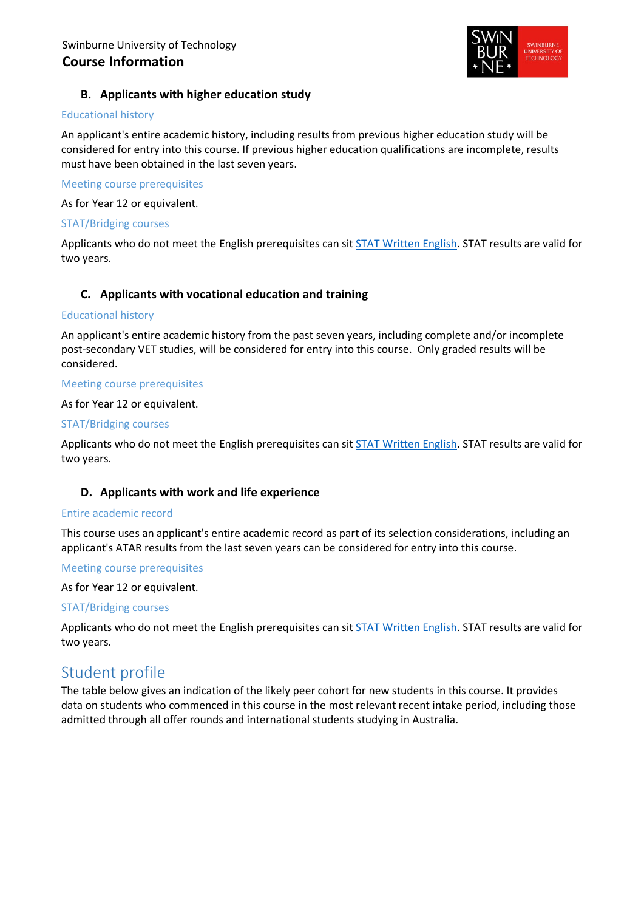

## **B. Applicants with higher education study**

#### Educational history

An applicant's entire academic history, including results from previous higher education study will be considered for entry into this course. If previous higher education qualifications are incomplete, results must have been obtained in the last seven years.

Meeting course prerequisites

As for Year 12 or equivalent.

#### STAT/Bridging courses

Applicants who do not meet the English prerequisites can sit [STAT Written English.](https://www.swinburne.edu.au/study/degrees/apply/admissions-test/) STAT results are valid for two years.

## **C. Applicants with vocational education and training**

#### Educational history

An applicant's entire academic history from the past seven years, including complete and/or incomplete post-secondary VET studies, will be considered for entry into this course. Only graded results will be considered.

#### Meeting course prerequisites

#### As for Year 12 or equivalent.

#### STAT/Bridging courses

Applicants who do not meet the English prerequisites can sit [STAT Written English.](https://www.swinburne.edu.au/study/degrees/apply/admissions-test/) STAT results are valid for two years.

#### **D. Applicants with work and life experience**

#### Entire academic record

This course uses an applicant's entire academic record as part of its selection considerations, including an applicant's ATAR results from the last seven years can be considered for entry into this course.

#### Meeting course prerequisites

As for Year 12 or equivalent.

#### STAT/Bridging courses

Applicants who do not meet the English prerequisites can sit [STAT Written English.](https://www.swinburne.edu.au/study/degrees/apply/admissions-test/) STAT results are valid for two years.

# Student profile

The table below gives an indication of the likely peer cohort for new students in this course. It provides data on students who commenced in this course in the most relevant recent intake period, including those admitted through all offer rounds and international students studying in Australia.